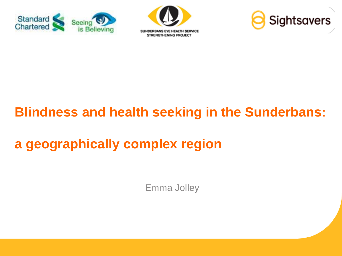





# **Blindness and health seeking in the Sunderbans:**

# **a geographically complex region**

Emma Jolley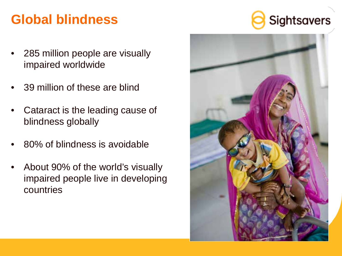### **Global blindness**

- 285 million people are visually impaired worldwide
- 39 million of these are blind
- Cataract is the leading cause of blindness globally
- 80% of blindness is avoidable
- About 90% of the world's visually impaired people live in developing countries



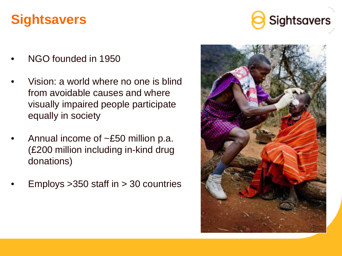#### **Sightsavers**



- NGO founded in 1950
- Vision: a world where no one is blind from avoidable causes and where visually impaired people participate equally in society
- Annual income of ~£50 million p.a. (£200 million including in-kind drug donations)
- Employs  $>350$  staff in  $>30$  countries

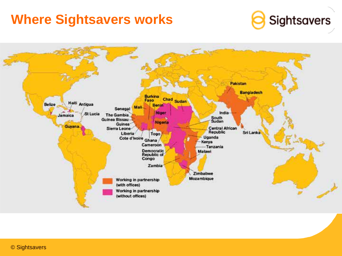#### **Where Sightsavers works**





© Sightsavers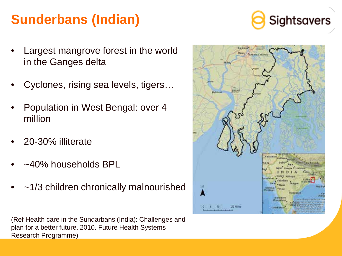# **Sunderbans (Indian)**



- Cyclones, rising sea levels, tigers…
- Population in West Bengal: over 4 million
- 20-30% illiterate
- ~40% households BPL
- ~1/3 children chronically malnourished

(Ref Health care in the Sundarbans (India): Challenges and plan for a better future. 2010. Future Health Systems Research Programme)

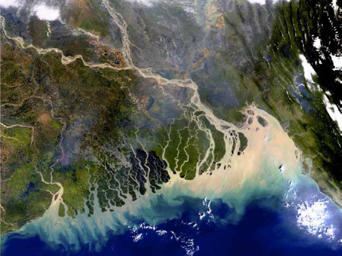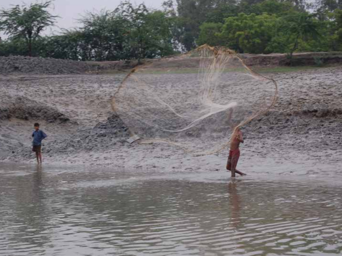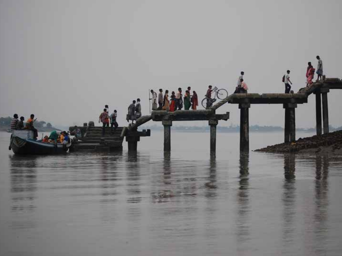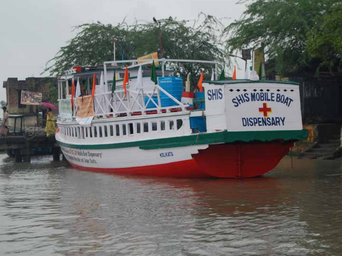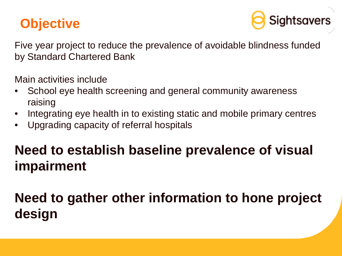#### **Objective**



Five year project to reduce the prevalence of avoidable blindness funded by Standard Chartered Bank

Main activities include

- School eye health screening and general community awareness raising
- Integrating eye health in to existing static and mobile primary centres
- Upgrading capacity of referral hospitals

# **Need to establish baseline prevalence of visual impairment**

# **Need to gather other information to hone project design**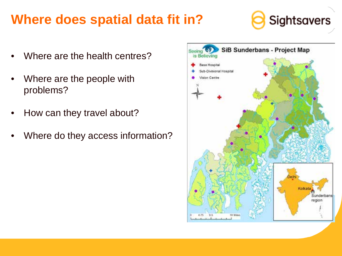#### **Where does spatial data fit in?**



- Where are the health centres?
- Where are the people with problems?
- How can they travel about?
- Where do they access information?

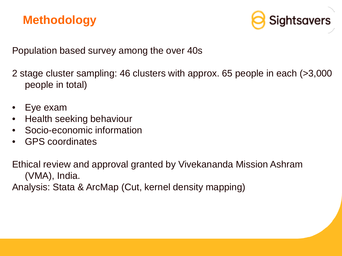#### **Methodology**



Population based survey among the over 40s

2 stage cluster sampling: 46 clusters with approx. 65 people in each (>3,000 people in total)

- Eye exam
- Health seeking behaviour
- Socio-economic information
- GPS coordinates

Ethical review and approval granted by Vivekananda Mission Ashram (VMA), India.

Analysis: Stata & ArcMap (Cut, kernel density mapping)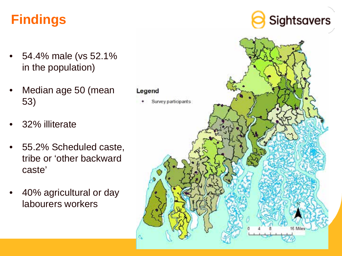#### **Findings**

- 54.4% male (vs 52.1% in the population)
- Median age 50 (mean 53)
- 32% illiterate
- 55.2% Scheduled caste, tribe or 'other backward caste'
- 40% agricultural or day labourers workers

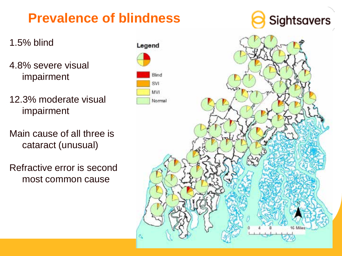### **Prevalence of blindness**

# **Sightsavers**

1.5% blind

- 4.8% severe visual impairment
- 12.3% moderate visual impairment
- Main cause of all three is cataract (unusual)
- Refractive error is second most common cause

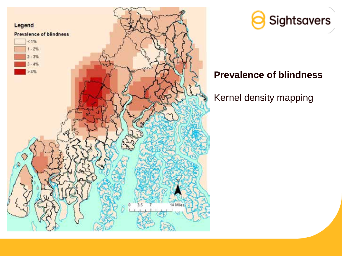



#### **Prevalence of blindness**

Kernel density mapping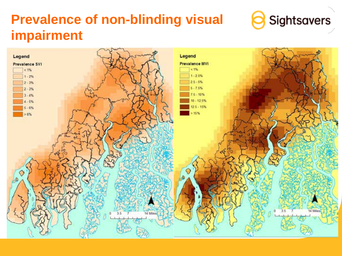### **Prevalence of non-blinding visual impairment**



Sightsavers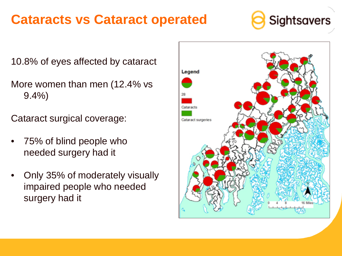#### **Cataracts vs Cataract operated**



10.8% of eyes affected by cataract

More women than men (12.4% vs 9.4%)

Cataract surgical coverage:

- 75% of blind people who needed surgery had it
- Only 35% of moderately visually impaired people who needed surgery had it

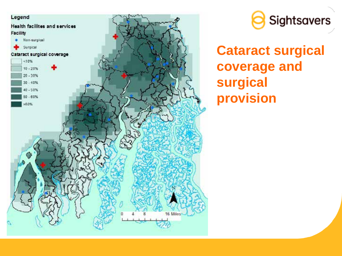



# **Cataract surgical coverage and surgical provision**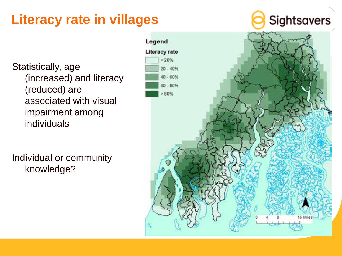# **Literacy rate in villages**

Sightsavers

Statistically, age (increased) and literacy (reduced) are associated with visual impairment among individuals

Individual or community knowledge?

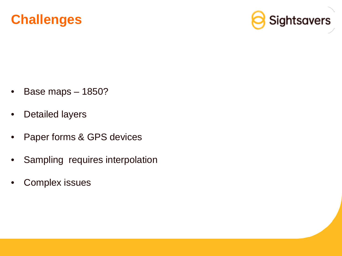



- Base maps 1850?
- Detailed layers
- Paper forms & GPS devices
- Sampling requires interpolation
- Complex issues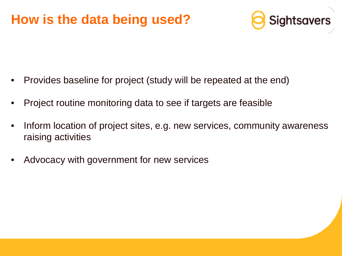#### **How is the data being used?**



- Provides baseline for project (study will be repeated at the end)
- Project routine monitoring data to see if targets are feasible
- Inform location of project sites, e.g. new services, community awareness raising activities
- Advocacy with government for new services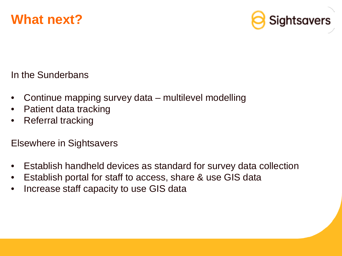



In the Sunderbans

- Continue mapping survey data multilevel modelling
- Patient data tracking
- Referral tracking

Elsewhere in Sightsavers

- Establish handheld devices as standard for survey data collection
- Establish portal for staff to access, share & use GIS data
- Increase staff capacity to use GIS data